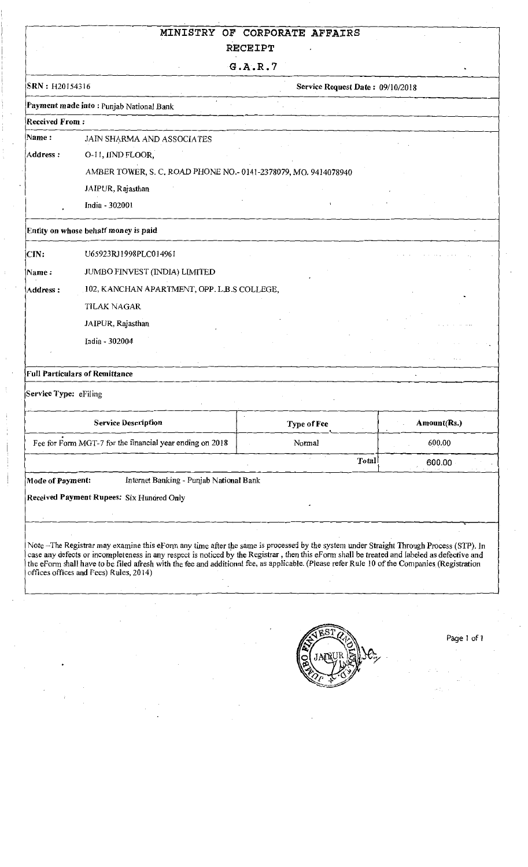## MINISTRY OF CORPORATE AFFAIRS

 $\ddot{\phantom{0}}$ 

## RECEIPT

G.A.R.7

| SRN: H20154316        |                                                                 |                                                                                                                                                                                                                                                                                                                                                                                                                                                                                                                                                 |
|-----------------------|-----------------------------------------------------------------|-------------------------------------------------------------------------------------------------------------------------------------------------------------------------------------------------------------------------------------------------------------------------------------------------------------------------------------------------------------------------------------------------------------------------------------------------------------------------------------------------------------------------------------------------|
|                       | Payment made into: Punjab National Bank                         |                                                                                                                                                                                                                                                                                                                                                                                                                                                                                                                                                 |
| <b>Received From:</b> |                                                                 |                                                                                                                                                                                                                                                                                                                                                                                                                                                                                                                                                 |
| Name:                 | JAIN SHARMA AND ASSOCIATES                                      |                                                                                                                                                                                                                                                                                                                                                                                                                                                                                                                                                 |
| Address:              | O-11, IIND FLOOR,                                               |                                                                                                                                                                                                                                                                                                                                                                                                                                                                                                                                                 |
|                       | AMBER TOWER, S. C. ROAD PHONE NO.- 0141-2378079, MO. 9414078940 |                                                                                                                                                                                                                                                                                                                                                                                                                                                                                                                                                 |
|                       | JAIPUR, Rajasthan                                               |                                                                                                                                                                                                                                                                                                                                                                                                                                                                                                                                                 |
|                       | India - 302001                                                  |                                                                                                                                                                                                                                                                                                                                                                                                                                                                                                                                                 |
|                       | Entity on whose behalf money is paid                            |                                                                                                                                                                                                                                                                                                                                                                                                                                                                                                                                                 |
| CIN:                  | U65923RJ1998PLC014961                                           |                                                                                                                                                                                                                                                                                                                                                                                                                                                                                                                                                 |
| Name :                | JUMBO FINVEST (INDIA) LIMITED                                   |                                                                                                                                                                                                                                                                                                                                                                                                                                                                                                                                                 |
| Address:              | 102, KANCHAN APARTMENT, OPP. L.B.S COLLEGE,                     | Service Request Date: 09/10/2018<br>Amount(Rs.)<br>Type of Fee<br>600.00<br>Normal<br>Total<br>600.00<br>Note -The Registrar may examine this eForm any time after the same is processed by the system under Straight Through Process (STP). In<br>case any defects or incompleteness in any respect is noticed by the Registrar, then this eForm shall be treated and labeled as defective and<br>the eForm shall have to be filed afresh with the fee and additional fee, as applicable. (Please refer Rule 10 of the Companies (Registration |
|                       | <b>TILAK NAGAR</b>                                              |                                                                                                                                                                                                                                                                                                                                                                                                                                                                                                                                                 |
|                       | JAIPUR, Rajasthan                                               |                                                                                                                                                                                                                                                                                                                                                                                                                                                                                                                                                 |
|                       | India - 302004                                                  |                                                                                                                                                                                                                                                                                                                                                                                                                                                                                                                                                 |
|                       |                                                                 |                                                                                                                                                                                                                                                                                                                                                                                                                                                                                                                                                 |
|                       | <b>Full Particulars of Remittance</b>                           |                                                                                                                                                                                                                                                                                                                                                                                                                                                                                                                                                 |
| Service Type: eFiling |                                                                 |                                                                                                                                                                                                                                                                                                                                                                                                                                                                                                                                                 |
|                       | <b>Service Description</b>                                      |                                                                                                                                                                                                                                                                                                                                                                                                                                                                                                                                                 |
|                       | Fee for Form MGT-7 for the financial year ending on 2018        |                                                                                                                                                                                                                                                                                                                                                                                                                                                                                                                                                 |
|                       |                                                                 |                                                                                                                                                                                                                                                                                                                                                                                                                                                                                                                                                 |
| Mode of Payment:      | Internet Banking - Punjab National Bank                         |                                                                                                                                                                                                                                                                                                                                                                                                                                                                                                                                                 |
|                       | Received Payment Rupees: Six Hundred Only                       |                                                                                                                                                                                                                                                                                                                                                                                                                                                                                                                                                 |
|                       |                                                                 |                                                                                                                                                                                                                                                                                                                                                                                                                                                                                                                                                 |
|                       |                                                                 |                                                                                                                                                                                                                                                                                                                                                                                                                                                                                                                                                 |
|                       |                                                                 |                                                                                                                                                                                                                                                                                                                                                                                                                                                                                                                                                 |
|                       |                                                                 |                                                                                                                                                                                                                                                                                                                                                                                                                                                                                                                                                 |
|                       | offices offices and Fees) Rules, 2014)                          |                                                                                                                                                                                                                                                                                                                                                                                                                                                                                                                                                 |

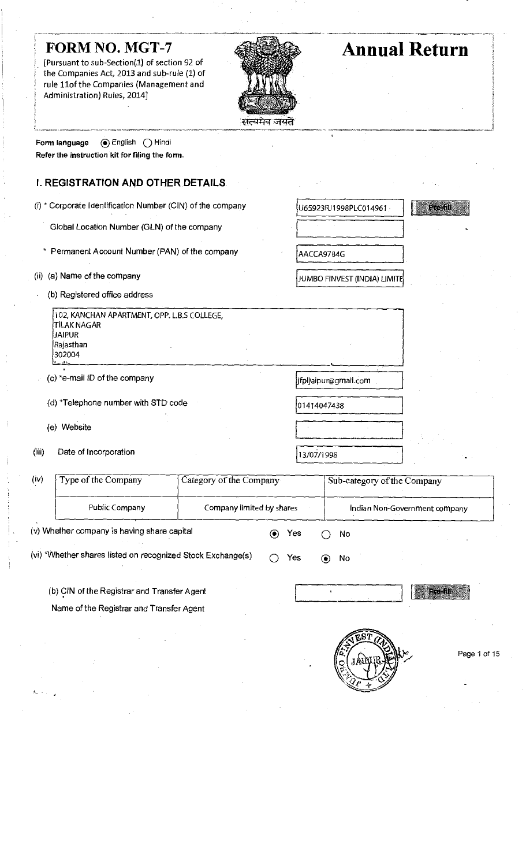[Pursuant to sub-Section(1) of section 92 of the Companies Act, 2013 and sub-rule (1) of rule 11of the Companies (Management and Administration) Rules, 2014]



# FORM NO. MGT-7 **Annual Return**

Form language (a) English O Hindi Refer the instruction kit forfiling the form.

# I. REGISTRATION AND OTHER DETAILS

- (i)  $*$  Corporate Identification Number (CIN) of the company  $\bigcup_{6.5923RJ1998PLC014961}$ 
	- Global Location Number (GLN) of the company
	- \* Permanent Account Number (PAN) of the company **AACCA9784G**
- (ii) (a) Name of the company
	- (b) Registered office address

102,KANCHAN APARTMENT,OPP.L.B.S COLLEGE, TILAK NAGAR JAIPUR Rajasthan 302004 r- -i?-

(c) \*e-mail ID of the company intervalse and the setting of the company if plying intervalse intervalse (c) \*e-mail.com

(d)  $*$ Telephone number with STD code  $\big|_{0.1414047438}$ 

(e) Website

•

(iii) Date of Incorporation  $\sqrt{13/07/1998}$ 

š,

JUMBO FINVEST (INDIA) LIMITE

| (iv)                                                        | Type of the Company<br>Category of the Company |                           |     |  |    | Sub-category of the Company   |
|-------------------------------------------------------------|------------------------------------------------|---------------------------|-----|--|----|-------------------------------|
|                                                             | Public Company                                 | Company limited by shares |     |  |    | Indian Non-Government company |
| (v) Whether company is having share capital                 |                                                |                           | Yes |  | No |                               |
| (vi) *Whether shares listed on recognized Stock Exchange(s) |                                                |                           | Yes |  | No |                               |

(b) CIN of the Registrar and Transfer Agent

Name of the Registrar and Transfer Agent

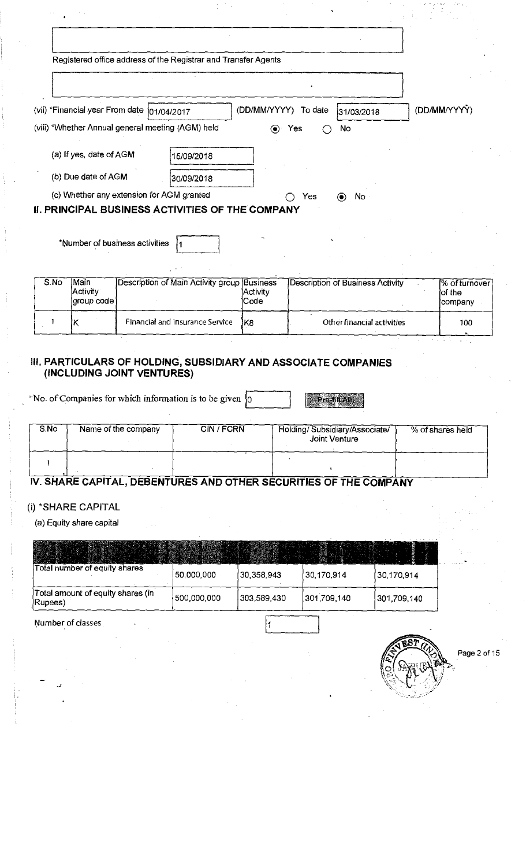|      |                                |                                                                                                  | Registered office address of the Registrar and Transfer Agents |                              |                |                                         |                                    |
|------|--------------------------------|--------------------------------------------------------------------------------------------------|----------------------------------------------------------------|------------------------------|----------------|-----------------------------------------|------------------------------------|
|      |                                | (vii) *Financial year From date  01/04/2017<br>(viii) *Whether Annual general meeting (AGM) held |                                                                | (DD/MM/YYYY)<br>′●           | To date<br>Yes | 31/03/2018<br>No                        | (DD/MM/YYYY)                       |
|      | (a) If yes, date of AGM        |                                                                                                  | 15/09/2018                                                     |                              |                |                                         |                                    |
|      | (b) Due date of AGM            |                                                                                                  | 30/09/2018                                                     |                              |                |                                         |                                    |
|      |                                | (c) Whether any extension for AGM granted                                                        | <b>II. PRINCIPAL BUSINESS ACTIVITIES OF THE COMPANY</b>        |                              | Yes            | No<br>$\circledbullet$                  |                                    |
|      |                                | *Number of business activities                                                                   |                                                                |                              |                |                                         |                                    |
| S.No | Main<br>Activity<br>group code |                                                                                                  | Description of Main Activity group                             | Business<br>Activity<br>Code |                | <b>Description of Business Activity</b> | % of turnover<br>of the<br>company |
|      |                                |                                                                                                  | Financial and insurance Service                                | lK8                          |                | Other financial activities              | 100                                |

#### III. PARTICULARS OF HOLDING, SUBSIDIARY AND ASSOCIATE COMPANIES (INCLUDING JOINT VENTURES)

"No. of Companies for which information is to be given  $\boxed{0}$ 

Pre-fill All

| S.No | Name of the company | <b>CIN/FCRN</b> | Holding/Subsidiary/Associate/<br>Joint Venture | % of shares held |
|------|---------------------|-----------------|------------------------------------------------|------------------|
|      |                     |                 |                                                |                  |

## IV. SHARE CAPITAL, DEBENTURES AND OTHER SECURITIES OF THE COMPANY

### (i)\*SHARE CAPITAL

(a) Equity share capital

| Total number of equity shares                | 50,000,000  | 30,358,943  | 30,170,914  | 30,170,914  |
|----------------------------------------------|-------------|-------------|-------------|-------------|
| Total amount of equity shares (in<br>Rupees) | 500,000,000 | 303,589.430 | 301,709,140 | 301,709,140 |

Number of classes

L

Page 2 of 15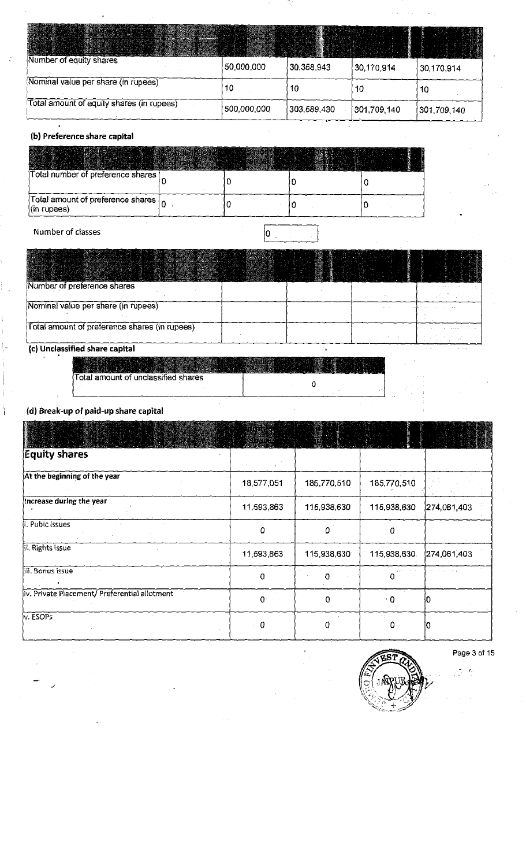| Number of equity shares                   | 50,000,000  | 30,358,943  | 30,170,914  | 30,170,914  |
|-------------------------------------------|-------------|-------------|-------------|-------------|
| Nominal value per share (in rupees)       | 10          | 10          | 10          | 10          |
| Total amount of equity shares (in rupees) | 500,000,000 | 303,589,430 | 301,709,140 | 301,709,140 |

#### (b) Preference share capital

| Total number of preference shares                         |  |  |
|-----------------------------------------------------------|--|--|
| Total amount of preference shares  <br>$\int$ (in rupees) |  |  |

## Number of classes and contact the contact of classes and contact of  $\alpha$

| Number of preference shares                   |  |  |
|-----------------------------------------------|--|--|
| Nominal value per share (in rupees)           |  |  |
| Total amount of preference shares (in rupees) |  |  |

## (c)Unclassified share capital

|                                     | William St |
|-------------------------------------|------------|
| Total amount of unclassified shares |            |
|                                     |            |

 $\bar{\star}$ 

#### (d) Break-up of paid-up share capital

| wa wan ngomba wanginy                         | MARATAL<br>PARTIESE |             |              |              |
|-----------------------------------------------|---------------------|-------------|--------------|--------------|
| <b>Equity shares</b>                          |                     |             |              |              |
| At the beginning of the year                  | 18,577,051          | 185,770,510 | 185,770,510  |              |
| Increase during the year                      | 11,593,863          | 115,938,630 | 115,938,630  | 274.061.403. |
| i. Pubic Issues                               | 0                   | 0           | 0            |              |
| ii. Rights issue                              | 11,593,863          | 115,938,630 | 115,938,630. | 274 061 403  |
| iii. Bonus issue                              | 0                   | $\Omega$    |              |              |
| iv. Private Placement/ Preferential allotment | $\mathbf{Q}$        | $\Omega$    | $\cdot$ 0    |              |
| v. ESOPS                                      | $\bf{0}$            | 0           | n            |              |

 $\cdot$ 

 $\tilde{\phantom{a}}$  $\breve{\mathcal{O}}$   $\hat{ }$   $\gamma _{3}$ V

Page3of 15

ķ,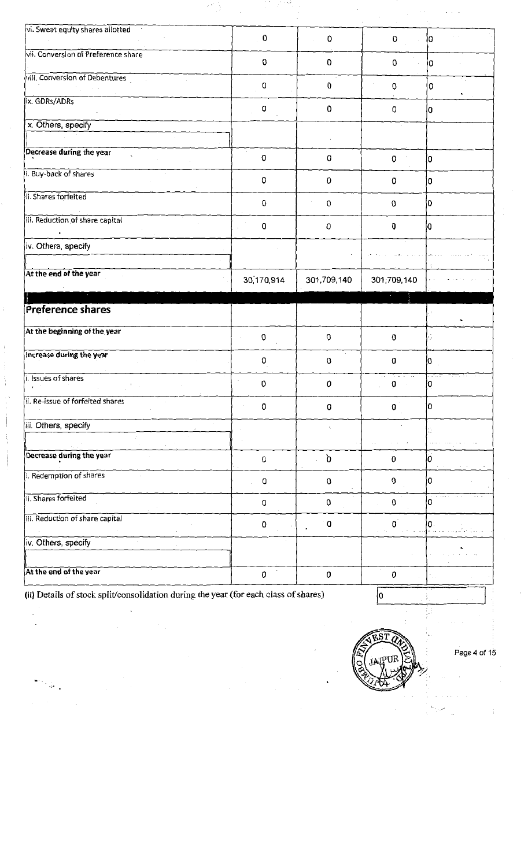| vi. Sweat equity shares allotted    | $\pmb{0}$      | $\pmb{0}$          | $\mathbf 0$  | 10  |
|-------------------------------------|----------------|--------------------|--------------|-----|
| vii. Conversion of Preference share | 0              | 0                  | 0            | ۱0  |
| vill. Conversion of Debentures      | 0              | 0                  | 0            | 0   |
| ix. GDRs/ADRs                       | 0              | $\pmb{0}$          | 0            | l٥  |
| x. Others, specify                  |                |                    |              |     |
|                                     |                |                    |              |     |
| Decrease during the year<br>÷       | 0              | 0                  | 0            | l0  |
| i. Buy-back of shares               | 0              | 0                  | 0            | 0   |
| ii. Shares forfeited                | $\pmb{0}$      | $\overline{0}$     | 0            | ١O  |
| iii. Reduction of share capital     | 0              | $\pmb{\mathbb{O}}$ | 0            | 10  |
| iv. Others, specify                 |                |                    |              |     |
| At the end of the year              | 30,170,914     | 301,709,140        | 301,709,140  |     |
| $\mathcal{A}$                       |                |                    |              |     |
|                                     |                |                    |              |     |
| Preference shares                   |                |                    |              |     |
| At the beginning of the year        | $\pmb{0}$      | $\mathbf 0$        | $\pmb{0}$    | ÷   |
| Increase during the year            | 0              | 0                  | 0            | 0   |
| i. Issues of shares                 | 0              | 0                  | 0            | IO. |
| ii. Re-issue of forfeited shares    | 0              | 0                  | 0            | 10  |
| iii. Others, specify                |                |                    |              |     |
|                                     |                |                    |              |     |
| Decrease during the year            | 0              | ď                  | 0            | lо  |
| i. Redemption of shares             | $\hbox{\bf Q}$ | $\pmb{0}$          | $\pmb{0}$    | ١o  |
| ii. Shares forfeited                | 0              | $\pmb{0}$          | 0            | Ι0  |
| iii. Reduction of share capital     | 0              | $\pmb{0}$          | $\mathbf{0}$ | Ю.  |
| iv. Others, specify                 |                |                    |              |     |

(ii) Details of stock split/consolidation during the year (for each class of shares)  $\sqrt{0}$ 

ુ l.

J



Page 4 of 15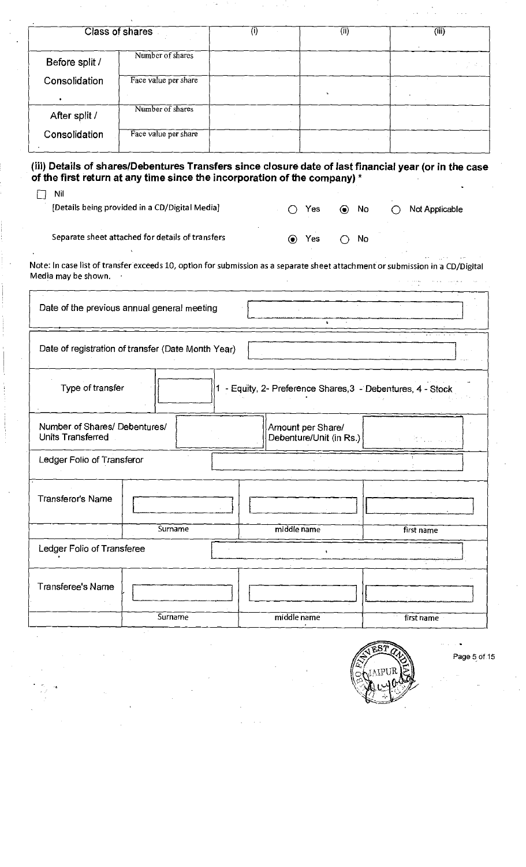|                                                                                                                                                                                            | Class of shares                                  | (i)         |                                              | $\overline{\text{(ii)}}$ | (iii)                                                                 |           |
|--------------------------------------------------------------------------------------------------------------------------------------------------------------------------------------------|--------------------------------------------------|-------------|----------------------------------------------|--------------------------|-----------------------------------------------------------------------|-----------|
| Before split /                                                                                                                                                                             | Number of shares                                 |             |                                              |                          |                                                                       |           |
| Consolidation                                                                                                                                                                              | Face value per share                             |             |                                              |                          |                                                                       |           |
| After split /                                                                                                                                                                              | Number of shares                                 |             |                                              |                          |                                                                       |           |
| Consolidation                                                                                                                                                                              | Face value per share                             |             |                                              |                          |                                                                       |           |
| (iii) Details of shares/Debentures Transfers since closure date of last financial year (or in the case<br>of the first return at any time since the incorporation of the company) *<br>Nil | [Details being provided in a CD/Digital Media]   |             | Yes                                          | $\odot$<br>No            | Not Applicable                                                        |           |
|                                                                                                                                                                                            |                                                  |             |                                              |                          |                                                                       |           |
|                                                                                                                                                                                            | Separate sheet attached for details of transfers | $\odot$     | Yes                                          | No                       |                                                                       |           |
| Note: In case list of transfer exceeds 10, option for submission as a separate sheet attachment or submission in a CD/Digital<br>Media may be shown.                                       |                                                  |             |                                              |                          |                                                                       |           |
| Date of the previous annual general meeting                                                                                                                                                |                                                  |             | $\mathbf{r}$                                 |                          |                                                                       |           |
| Date of registration of transfer (Date Month Year)                                                                                                                                         |                                                  |             |                                              |                          |                                                                       |           |
| Type of transfer                                                                                                                                                                           |                                                  |             |                                              |                          | 1 - Equity, 2- Preference Shares, 3 - Debentures, 4 - Stock<br>エレンジスト | $\sim 10$ |
| Number of Shares/ Debentures/<br>Units Transferred                                                                                                                                         |                                                  |             | Amount per Share/<br>Debenture/Unit (in Rs.) |                          |                                                                       |           |
| Ledger Folio of Transferor                                                                                                                                                                 |                                                  |             |                                              |                          |                                                                       |           |
| Transferor's Name                                                                                                                                                                          |                                                  |             |                                              |                          |                                                                       |           |
|                                                                                                                                                                                            | Surname                                          | middle name |                                              |                          | first name                                                            |           |
| Ledger Folio of Transferee                                                                                                                                                                 |                                                  |             | 4                                            |                          |                                                                       |           |
| <b>Transferee's Name</b>                                                                                                                                                                   |                                                  |             |                                              |                          |                                                                       |           |
|                                                                                                                                                                                            |                                                  |             |                                              |                          |                                                                       |           |
|                                                                                                                                                                                            | Surname                                          | middle name |                                              |                          | first name                                                            |           |

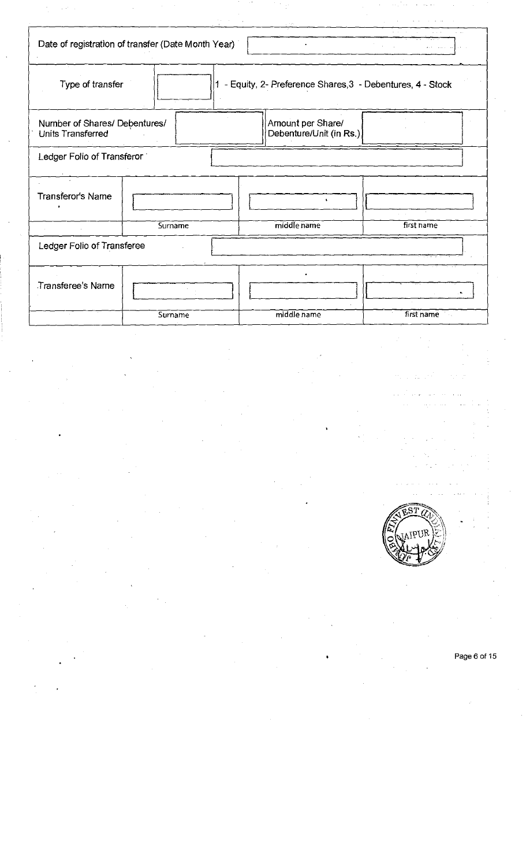|                                                           | Date of registration of transfer (Date Month Year) |                                                           |            |
|-----------------------------------------------------------|----------------------------------------------------|-----------------------------------------------------------|------------|
| Type of transfer                                          |                                                    | - Equity, 2- Preference Shares, 3 - Debentures, 4 - Stock |            |
| Number of Shares/ Debentures/<br><b>Units Transferred</b> |                                                    | Amount per Share/<br>Debenture/Unit (in Rs.)              |            |
| Ledger Folio of Transferor                                |                                                    |                                                           |            |
| Transferor's Name                                         |                                                    | $\bullet$                                                 |            |
|                                                           | Surname                                            | middle name                                               | first name |
| Ledger Folio of Transferee                                |                                                    |                                                           |            |
| <b>Transferee's Name</b>                                  |                                                    |                                                           |            |
|                                                           | Surname                                            | middle name                                               | first name |

 $\sim$ 

ł,

Page 6 of 15

 $\mathbb{Z}/\mathbb{Z}$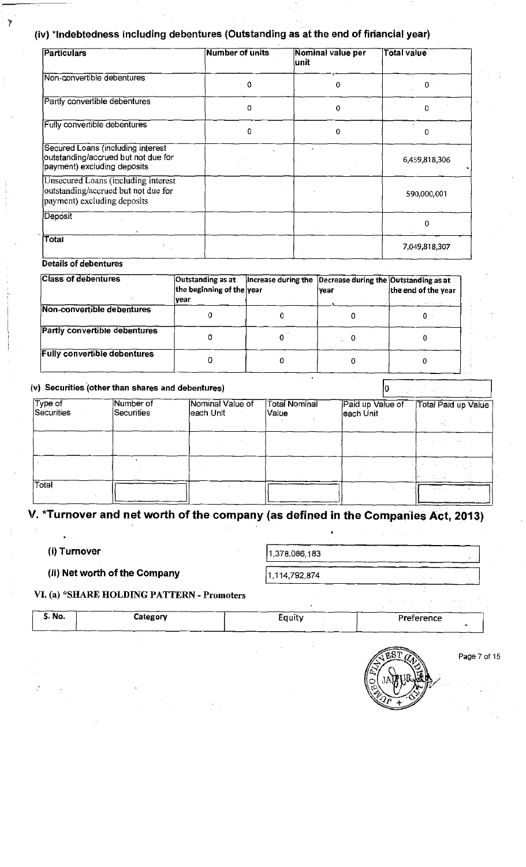## (iv) \*Indebtedness including debentures (Outstanding as at the end of financial year)

| <b>Particulars</b>                                                                                        | <b>Number of units</b> | Nominal value per<br>lunit | <b>Total value</b> |
|-----------------------------------------------------------------------------------------------------------|------------------------|----------------------------|--------------------|
| Non-convertible debentures                                                                                | - 0                    | 0                          | 0                  |
| Partly convertible debentures                                                                             | n                      | 0                          | 0                  |
| <b>Fully convertible debentures</b>                                                                       | 0                      | 0                          | O                  |
| Secured Loans (including interest<br>outstanding/accrued but not due for<br>payment) excluding deposits   |                        |                            | 6,459,818,306      |
| Unsecured Loans (including interest<br>outstanding/accrued but not due for<br>payment) excluding deposits |                        |                            | 590,000,001        |
| Deposit                                                                                                   |                        |                            | 0                  |
| Total                                                                                                     |                        |                            | 7,049,818,307      |

#### Details of debentures

7

| <b>Class of debentures</b>           | Outstanding as at<br>the beginning of the year<br> vear | Increase during the Decrease during the Outstanding as at<br>lyear | the end of the year<br>the contract of |
|--------------------------------------|---------------------------------------------------------|--------------------------------------------------------------------|----------------------------------------|
| Non-convertible debentures           |                                                         |                                                                    |                                        |
| <b>Partly convertible debentures</b> |                                                         |                                                                    |                                        |
| <b>Fully convertible debentures</b>  |                                                         |                                                                    |                                        |

| $Ty$ pe of<br>Securities | Number of<br>Securities | Nominal Value of<br>leach Unit | <b>Total Nominal</b><br>Value | Paid up Value of<br>leach Unit | Total Paid up Value                  |
|--------------------------|-------------------------|--------------------------------|-------------------------------|--------------------------------|--------------------------------------|
|                          |                         |                                |                               |                                |                                      |
|                          |                         |                                |                               |                                |                                      |
|                          |                         |                                |                               |                                |                                      |
| Total                    |                         |                                |                               |                                | $\alpha$ and $\alpha$ , and $\alpha$ |

## V.\*Tumover and net worth of the company(as defined in the Companies Act,2013)

(i) Turnover  $1,378,086,183$ 

## (ii) Net worth of the Company  $\left| \frac{1,114,792,874}{1,114,792,874} \right|$

#### VI. (a) \*SHARE HOLDING PATTERN - Promoters

|        |          |        | the contract of the contract of |  |
|--------|----------|--------|---------------------------------|--|
| S. No. | Category | cquity | Preference                      |  |
|        |          |        |                                 |  |



Page 7 of 15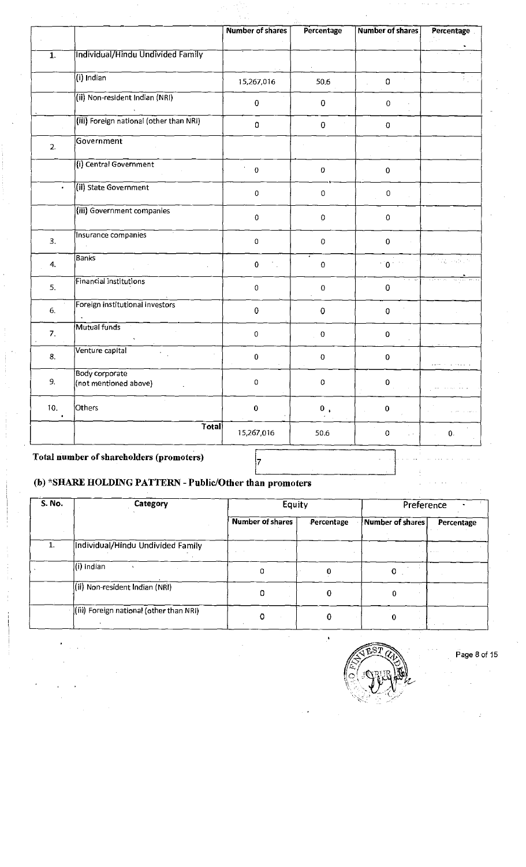|                  |                                         | <b>Number of shares</b> | Percentage  | <b>Number of shares</b> | Percentage              |
|------------------|-----------------------------------------|-------------------------|-------------|-------------------------|-------------------------|
| $\overline{1}$ . | Individual/Hindu Undivided Family       |                         |             |                         |                         |
|                  | $(i)$ Indian                            | 15,267,016              | 50.6        | $\mathbf 0$             |                         |
|                  | (ii) Non-resident Indian (NRI)          | $\mathbf 0$             | $\pmb{0}$   | $\pmb{0}$               |                         |
|                  | (iii) Foreign national (other than NRI) | $\mathbf 0$             | $\pmb{0}$   | $\mathbf 0$             |                         |
| 2.               | Government                              |                         |             |                         |                         |
|                  | (i) Central Government                  | $\pmb{0}$               | $\pmb{0}$   | $\mathbf 0$             |                         |
| $\bullet$        | (ii) State Government                   | $\mathbf 0$             | $\mathbf 0$ | 0                       |                         |
|                  | (iii) Government companies              | $\pmb{0}$               | $\pmb{0}$   | $\boldsymbol{0}$        |                         |
| 3.               | Insurance companies                     | $\pmb{0}$               | $\pmb{0}$   | $\mathbf 0$             |                         |
| 4.               | <b>Banks</b>                            | $\mathbf 0$             | $\mathbf 0$ | $^{+}$ 0 $^{+}$         | 41<br><b>Contractor</b> |
| 5.               | Financial institutions                  | $\mathbf 0$             | $\pmb{0}$   | $\mathbf 0$             |                         |
| 6.               | Foreign institutional investors         | $\mathbf 0$             | $\pmb{0}$   | $\pmb{0}$               |                         |
| 7.               | Mutual funds                            | $\mathbf 0$             | $\pmb{0}$   | $\mathbf 0$             |                         |
| 8.               | Venture capital                         | $\mathbf 0$             | $\pmb{0}$   | $\pmb{0}$               |                         |
| 9.               | Body corporate<br>(not mentioned above) | $\mathbf 0$             | $\pmb{0}$   | $\pmb{0}$               |                         |
| 10.              | Others                                  | $\pmb{0}$               | 0,          | $\pmb{0}$               |                         |
|                  | Total                                   | 15,267,016              | 50.6        | $\mathbf 0$             | $\mathbf{0}$ .          |
|                  |                                         |                         |             |                         |                         |

## Total number of shareholders (promoters)

## (b) \*SHARE HOLDING PATTERN - Public/Other than promoters

| <b>S. No.</b> | <b>Category</b>                         | Equity                  |            | Preference       |            |
|---------------|-----------------------------------------|-------------------------|------------|------------------|------------|
|               |                                         | <b>Number of shares</b> | Percentage | Number of shares | Percentage |
|               | Individual/Hindu Undivided Family       |                         |            |                  |            |
|               | (i) Indian                              | Ω                       |            |                  |            |
|               | ((ii) Non-resident Indian (NRI)         |                         |            |                  |            |
|               | (iii) Foreign national (other than NRI) |                         |            |                  |            |

Page 8 of 15  $\frac{1}{2}$ v/

»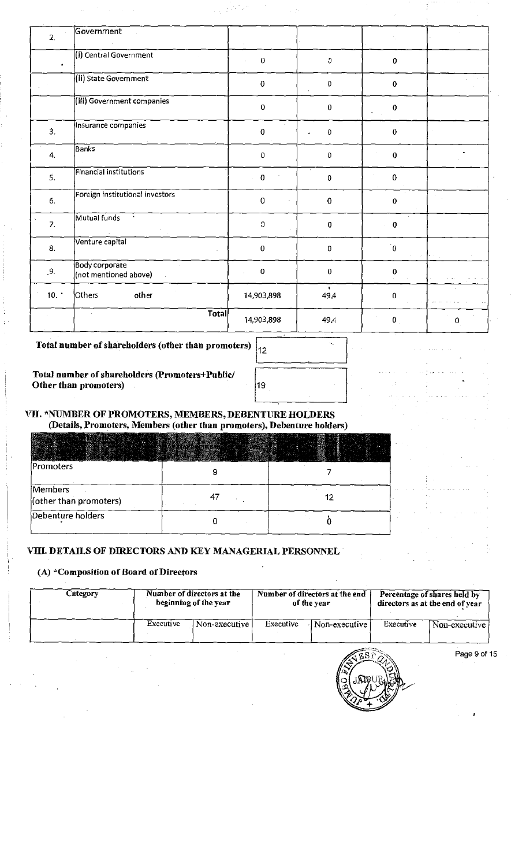| 2.               | Government                                     |                |                                   |                                                                  |           |
|------------------|------------------------------------------------|----------------|-----------------------------------|------------------------------------------------------------------|-----------|
| $\bullet$        | (i) Central Government                         | $\bf{0}$       | J                                 | 0                                                                |           |
|                  | (ii) State Government                          | $\pmb{0}$      | $\mathbb O$                       | $\pmb{0}$                                                        |           |
|                  | (iii) Government companies                     | $\mathbf 0$    | $\bf{0}$                          | $\bf{0}$<br>$\mathcal{L}_{\mathrm{max}}$<br>$\ddot{\phantom{a}}$ |           |
| 3.               | Insurance companies                            | $\bf{0}$       | $\mathsf{O}\xspace$               | $\bf{0}$                                                         |           |
| 4.               | Banks                                          | $\mathbf 0$    | 0                                 | $\pmb{0}$                                                        |           |
| $\ddot{5}$ .     | Financial institutions                         | $\pmb{0}$      | $\Delta \mathcal{L}$<br>$\pmb{0}$ | $\mathbf 0$                                                      |           |
| 6.               | Foreign institutional investors                | $\mathbf 0$    | 0                                 | $\pmb{0}$                                                        |           |
| $\overline{7}$ . | Mutual funds                                   | $\mathfrak{I}$ | $\pmb{0}$                         | $\pmb{0}$                                                        |           |
| 8.               | Venture capital                                | $\mathbf{0}$   | 0                                 | $\mathbf{0}^{\prime}$<br>$\mathcal{L}^{\pm}$                     | Personal  |
| 9.               | <b>Body corporate</b><br>(not mentioned above) | $\pmb{0}$      | $\pmb{0}$                         | $\pmb{0}$                                                        |           |
| 10.              | Others<br>other                                | 14,903,898     | $\ddot{\phantom{1}}$<br>49.4      | $\pmb{0}$                                                        |           |
|                  | <b>Total</b>                                   | 14,903,898     | 49.4                              | $\mathbf{0}$                                                     | $\pmb{0}$ |

 $\mathbb{R}^{2\times 2}$  at  $\lambda$ 

Total number of shareholders (other than promoters

Total number of shareholders (Promoters+Public/ Other than promoters)

| s)  | 12 |                  |  |  |  |
|-----|----|------------------|--|--|--|
| × . | 19 |                  |  |  |  |
|     |    | хглтирт наі вгрс |  |  |  |

VII. \*NUMBER OF PROMOTERS, MEMBERS, DEBENTURE HOLDERS

| (Details, Promoters, Members (other than promoters), Debenture holders) |  |  |  |  |  |  |  |
|-------------------------------------------------------------------------|--|--|--|--|--|--|--|
|                                                                         |  |  |  |  |  |  |  |
| Promoters                                                               |  |  |  |  |  |  |  |
| Members<br>(other than promoters)                                       |  |  |  |  |  |  |  |
| Debenture holders                                                       |  |  |  |  |  |  |  |

#### VIII. DETAILS OF DIRECTORS AND KEY MANAGERIAL PERSONNEL

#### (A)  $*$ Composition of Board of Directors

| Category | Number of directors at the |               | Number of directors at the end |               | Percentage of shares held by    |               |
|----------|----------------------------|---------------|--------------------------------|---------------|---------------------------------|---------------|
|          | beginning of the year      |               | of the vear                    |               | directors as at the end of year |               |
|          | Executive                  | Non-executive | Executive                      | Non-executive | Executive                       | Non-executive |



Page 9 of 15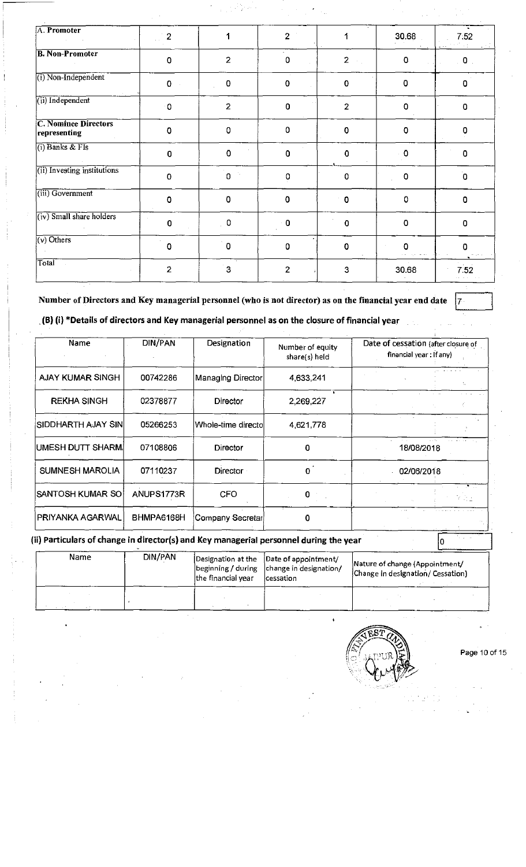| A. Promoter                                 | 2              |                                 | $\overline{2}$ |                | 30.68       | 7.52                    |
|---------------------------------------------|----------------|---------------------------------|----------------|----------------|-------------|-------------------------|
| <b>B. Non-Promoter</b>                      | $\overline{0}$ | $\overline{2}$                  | 0              | $\mathbf{2}$   | 0           | $\overline{\mathbf{0}}$ |
| (i) Non-Independent                         | $\mathbf 0$    | 0                               | $\mathbf 0$    | $\mathbf 0$    | $\mathbf 0$ | 0                       |
| (ii) Independent                            | 0              | $\overline{2}$                  | $\Omega$       | $\overline{2}$ | 0           | $\Omega$                |
| <b>C. Nominee Directors</b><br>representing | $\overline{0}$ | 0                               | $\mathbf 0$    | $\overline{0}$ | 0           | 0                       |
| $(i)$ Banks & FIs                           | 0              | $\mathbf 0$                     | $\pmb{0}$      | $\Omega$       | $\sim$ 0    | $\overline{0}$          |
| (ii) Investing institutions                 | $\mathbf 0$    | $\gamma_{\rm g}$<br>$\mathbf 0$ | 0              | $\Omega$       | $\pmb{0}$   | $\overline{0}$          |
| (iii) Government                            | $\overline{0}$ | $\pmb{0}$                       | $\mathbf 0$    | $^{\circ}$ 0   | 0           | $\mathbf 0$             |
| $(iv)$ Small share holders                  | $\mathbf 0$    | $\overline{0}$                  | $\mathbf 0$    | $\mathbf 0$    | $\mathbf 0$ | $\overline{0}$          |
| $\sqrt{(v)$ Others                          | $\mathbf 0$    | $\sim$<br>$\mathbf 0$           | 0              | $\overline{0}$ | 0           | n                       |
| Total                                       | $\overline{2}$ | $\overline{3}$                  | $\overline{2}$ | 3              | 30.68       | 7.52                    |

Number of Directors and Key managerial personnel (who is not director) as on the financial year end date  $\sqrt{7}$ 

(B) (i) \*Details of directors and Key managerial personnel as on the closure of financial year

| Name                    | <b>DIN/PAN</b> | Designation        | Number of equity<br>share(s) held | Date of cessation (after closure of<br>financial year : If any) |
|-------------------------|----------------|--------------------|-----------------------------------|-----------------------------------------------------------------|
| <b>AJAY KUMAR SINGH</b> | 00742286       | Managing Director  | 4,633,241                         |                                                                 |
| <b>REKHA SINGH</b>      | 02378877       | Director           | 2,269,227                         |                                                                 |
| SIDDHARTH AJAY SIN      | 05266253       | Whole-time directo | 4,621,778                         |                                                                 |
| UMESH DUTT SHARMI       | 07108806       | Director           | 0                                 | 18/08/2018                                                      |
| <b>SUMNESH MAROLIA</b>  | 07110237       | <b>Director</b>    | 0                                 | 02/06/2018                                                      |
| SANTOSH KUMAR SO        | ANUPS1773R     | <b>CFO</b>         | 0                                 | $\ell \gtrsim 1$                                                |
| PRIYANKA AGARWAL        | BHMPA6168H     | Company Secretar   | 0                                 |                                                                 |

(ii) Particulars of change in director(s) and Key managerial personnel during the year  $\sqrt{0}$ 

| Name | DIN/PAN | the financial year | Designation at the  Date of appointment/<br>beginning / during   change in designation/<br>lcessation | Nature of change (Appointment/<br>Change in designation/ Cessation) |
|------|---------|--------------------|-------------------------------------------------------------------------------------------------------|---------------------------------------------------------------------|
|      |         |                    |                                                                                                       |                                                                     |



 $\ddot{\phantom{1}}$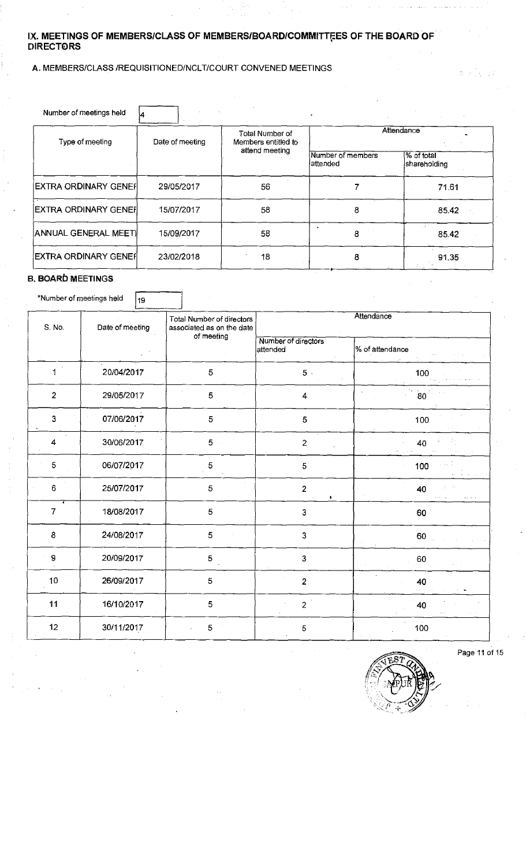#### IX. MEETINGS OF MEMBERS/CLASS OF MEMBERS/BOARD/COMMITTEES OF THE BOARD OF<br>-----------DIRECTORS

#### A.MEMBERS/CLASS/REQUISITIONED/NCLT/COURT CONVENED MEETINGS

| Number of meetings held |                 |                                        | ۰                              |                            |  |
|-------------------------|-----------------|----------------------------------------|--------------------------------|----------------------------|--|
| Type of meeting         | Date of meeting | Total Number of<br>Members entitled to | Attendance                     |                            |  |
|                         |                 | attend meeting                         | Number of members<br>lattended | % of total<br>shareholding |  |
| EXTRA ORDINARY GENEF    | 29/05/2017      | 56                                     |                                | 71.61                      |  |
| EXTRA ORDINARY GENER    | 15/07/2017      | 58                                     | 8                              | 85.42                      |  |
| ANNUAL GENERAL MEETI    | 15/09/2017      | 58                                     | 8                              | 85.42                      |  |
| EXTRA ORDINARY GENEF    | 23/02/2018      | 18                                     | 8                              | 91.35                      |  |

#### **B. BOARD MEETINGS**

\*Number of meetings held  $\begin{bmatrix} 19 \end{bmatrix}$ 

| S. No.         | Date of meeting | Total Number of directors<br>associated as on the date |                                 | Attendance          |
|----------------|-----------------|--------------------------------------------------------|---------------------------------|---------------------|
|                |                 | of meeting                                             | Number of directors<br>attended | % of attendance     |
| $\mathbf 1$    | 20/04/2017      | 5                                                      | $5\,$ .                         | 100                 |
| $\overline{2}$ | 29/05/2017      | 5                                                      | 4                               | $\overline{\bf 80}$ |
| 3              | 07/06/2017      | 5                                                      | 5                               | 100                 |
| 4              | 30/06/2017      | 5                                                      | $\overline{2}$                  | 40                  |
| 5              | 06/07/2017      | 5                                                      | 5                               | 100                 |
| 6              | 25/07/2017      | 5                                                      | $\overline{2}$<br>٠             | 40                  |
| 7              | 18/08/2017      | 5                                                      | 3                               | 60                  |
| $\bf8$         | 24/08/2017      | 5                                                      | 3                               | 60                  |
| $\mathbf{9}$   | 20/09/2017      | 5                                                      | $\mathbf{3}$                    | 60                  |
| $10$           | 26/09/2017      | 5                                                      | $\overline{2}$                  | 40                  |
| 11             | 16/10/2017      | 5                                                      | $2^{\degree}$                   | 40                  |
| 12             | 30/11/2017      | 5                                                      | $\mathbf 5$                     | 100                 |



Page 11 of 15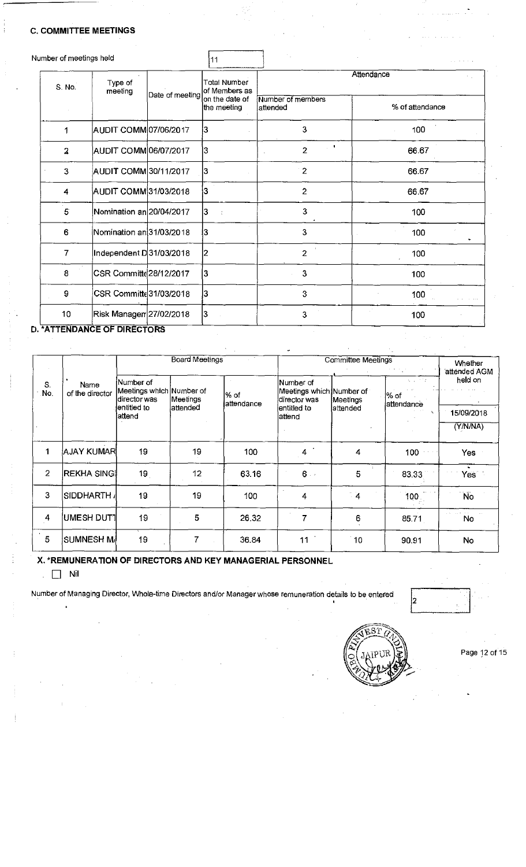#### C.COMMITTEE MEETINGS

|        |         |                                    | 11                                                                                                                                                                                                                                                                                                                           |                               |                 |  |
|--------|---------|------------------------------------|------------------------------------------------------------------------------------------------------------------------------------------------------------------------------------------------------------------------------------------------------------------------------------------------------------------------------|-------------------------------|-----------------|--|
| S. No. | Type of |                                    | Total Number<br>lof Members as                                                                                                                                                                                                                                                                                               | Attendance                    |                 |  |
|        |         |                                    | on the date of<br>the meeting                                                                                                                                                                                                                                                                                                | Number of members<br>attended | % of attendance |  |
| 1      |         |                                    |                                                                                                                                                                                                                                                                                                                              | 3                             | 100             |  |
| 2      |         |                                    | 3                                                                                                                                                                                                                                                                                                                            | $\gamma=0$<br>$\overline{2}$  | 66.67           |  |
| 3      |         |                                    | 3                                                                                                                                                                                                                                                                                                                            | $\overline{2}$                | 66.67           |  |
| 4      |         |                                    |                                                                                                                                                                                                                                                                                                                              | $\overline{2}$                | 66.67           |  |
| 5      |         |                                    | 13                                                                                                                                                                                                                                                                                                                           | 3                             | 100             |  |
| 6      |         |                                    |                                                                                                                                                                                                                                                                                                                              | 3                             | 100             |  |
| 7      |         |                                    | 2                                                                                                                                                                                                                                                                                                                            | $\overline{2}$                | 100             |  |
| 8      |         |                                    |                                                                                                                                                                                                                                                                                                                              | $\mathbf{3}$                  | 100             |  |
| 9      |         |                                    | 3                                                                                                                                                                                                                                                                                                                            | 3                             | 100             |  |
| 10     |         |                                    |                                                                                                                                                                                                                                                                                                                              | 3                             | 100             |  |
|        |         | Number of meetings held<br>meeting | Date of meeting<br>AUDIT COMM 07/06/2017<br>AUDIT COMM 06/07/2017<br>AUDIT COMM 30/11/2017<br>AUDIT COMM 31/03/2018<br>Nomination an 20/04/2017<br>Nomination an 31/03/2018<br>Independent D 31/03/2018<br>CSR Committe 28/12/2017<br>CSR Committe 31/03/2018<br>Risk Managen 27/02/2018 <br><b>*ATTENDANCE OF DIDECTORS</b> | 13<br>3<br>13<br>İ3<br>3      |                 |  |

#### D.'ATTENDANCE OF DIRECTORS

Board Meetings Committee Meetings Whether attended AGM<br>held on Number of the later of the Number of the later of the later of the later of the later of the later of the later  $\sim$ No. of the director Meetings which Number of  $\begin{array}{c} |v_{\rm 00}\rangle \text{ of } \\ |v_{\rm 01}\rangle \text{ of } \end{array}$ director was entitled to attend Number of Meetings which director was entitled to attend S. Name<br>No. of the director Meetings attended Number of Meetings attended attendance %of attendance 15/09/2018 (Y/N/NA) 1 |AJAY KUMAR| 19 | 19 | 100 | 4 | 4 | 100 | Yes 2 REKHA SING | 19 | 12 | 63.16 | 6 | 5 | 83.33 | Yes 3 SIDDHARTH」 19 | 19 | 100 | 4 | 4 | 100 | 100 | 4 UMESH DUT1 19 5 26.32 7 6 85.71 No 5 SUMNESH M 19 7 36.84 11 0 90.91 No

X. \* REMUNERATION OF DIRECTORS AND KEY MANAGERIAL PERSONNEL

.  $\Box$  Nil

Number of Managing Director, Whole-time Directors and/or Manager whose remuneration details to be entered

2



Page 12 of 15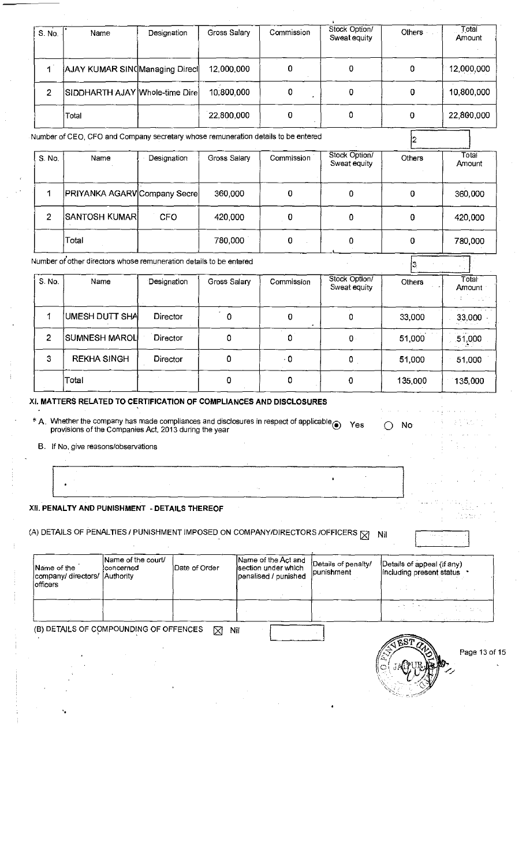| S. No.         | Name                                                                              | Designation | Gross Salary | Commission | Stock Option/<br>Sweat equity | Others  | Total<br>Amount                     |
|----------------|-----------------------------------------------------------------------------------|-------------|--------------|------------|-------------------------------|---------|-------------------------------------|
| $\mathbf 1$    | AJAY KUMAR SINCManaging Direct                                                    |             | 12,000,000   | 0          | 0                             | 0       | 12,000,000                          |
| $\overline{2}$ | SIDDHARTH AJAY Whole-time Dire                                                    |             | 10,800,000   | 0          | 0                             | 0       | 10,800,000                          |
|                | Total                                                                             |             | 22,800,000   | 0          | 0                             | 0       | 22,800,000                          |
|                | Number of CEO, CFO and Company secretary whose remuneration details to be entered |             |              |            |                               | 12      |                                     |
| S. No.         | Name                                                                              | Designation | Gross Salary | Commission | Stock Option/<br>Sweat equity | Others  | Total<br>Amount                     |
| $\mathbf 1$    | PRIYANKA AGARV Company Secre                                                      |             | 360,000      | 0          | 0                             | 0       | 360,000                             |
| $\overline{2}$ | <b>SANTOSH KUMAR</b>                                                              | <b>CFO</b>  | 420,000      | 0          | 0                             | 0       | 420,000                             |
|                | Total                                                                             |             | 780,000      | 0          | 0                             | 0       | 780,000                             |
|                | Number of other directors whose remuneration details to be entered                |             |              |            |                               | ß.      |                                     |
| S. No.         | Name                                                                              | Designation | Gross Salary | Commission | Stock Option/<br>Sweat equity | Others  | $\overline{\text{Total}}$<br>Amount |
| 1              | <b>UMESH DUTT SHA</b>                                                             | Director    | $\mathbf 0$  | 0          | 0                             | 33,000  | 33,000                              |
| $\overline{2}$ | <b>SUMNESH MAROL</b>                                                              | Director    | 0            | 0          | $\mathbf 0$                   | 51,000  | 51,000                              |
| 3              | <b>REKHA SINGH</b>                                                                | Director    | $\pmb{0}$    | $\cdot$ 0  | 0                             | 51,000  | 51,000                              |
|                | Total                                                                             |             | 0            | 0          | 0                             | 135,000 | 135,000                             |

#### XI. MATTERS RELATED TO CERTIFICATION OF COMPLIANCES AND DISCLOSURES

\* A. Whether the company has made compilances and disclosures in respect of applicable⊕ Yes<br>provisions of the Companies Act, 2013 during the year

O No

 $\ddot{\phantom{a}}$ 

 $\ddot{\phantom{1}}$ 

B. If No,give reasons/observations

 $\overline{1}$ 

#### XII. PENALTY AND PUNISHMENT - DETAILS THEREOF

| (A) DETAILS OF PENALTIES / PUNISHMENT IMPOSED ON COMPANY/DIRECTORS /OFFICERS $\boxtimes$ Nil |  |
|----------------------------------------------------------------------------------------------|--|
|----------------------------------------------------------------------------------------------|--|

| Name of the<br>company/ directors/ Authority | Name of the court/<br>łco⊓cerned:      | Date of Order | Name of the Act and<br>section under which<br>lpenalised / punished | Details of penalty/<br><i>lpunishment</i> | Details of appeal (if any)<br>including present status |
|----------------------------------------------|----------------------------------------|---------------|---------------------------------------------------------------------|-------------------------------------------|--------------------------------------------------------|
| lofficers                                    |                                        |               |                                                                     |                                           |                                                        |
|                                              |                                        |               |                                                                     |                                           | and the season and the                                 |
|                                              | (B) DETAILS OF COMPOUNDING OF OFFENCES | ⊠             | Nil                                                                 |                                           |                                                        |

 $\left(\frac{1}{\alpha}\right)$ 

Page 13 of 15

V.

in ten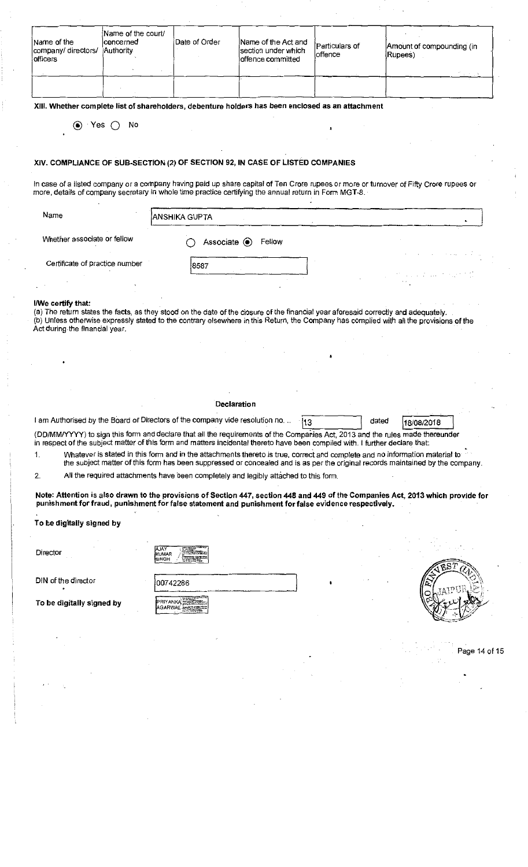| Name of the<br>company/directors/<br>officers | Name of the court/<br> concerned<br>Authority | Date of Order | Name of the Act and<br>section under which<br>offence committed | Particulars of<br>loffen <b>c</b> e | Amount of compounding (in<br>(Rupees) |
|-----------------------------------------------|-----------------------------------------------|---------------|-----------------------------------------------------------------|-------------------------------------|---------------------------------------|
|                                               |                                               |               |                                                                 |                                     |                                       |

XIII. Whether complete list of shareholders, debenture holders has been enclosed as an attachment

(•) Yes O No

#### XIV. COMPLIANCE OF SUB-SECTION (2) OF SECTION 92, IN CASE OF LISTED COMPANIES

In case of a listed company or a company having paid up share capital of Ten Crore rupees or more or turnover of Fifty Crore rupees or more, details of company secretary in whole time practice certifying the annual return in Form MGT-8.

| Name                           | <b>ANSHIKA GUPTA</b>          |                                                 |
|--------------------------------|-------------------------------|-------------------------------------------------|
| Whether associate or fellow    | Associate <sup>O</sup> Fellow |                                                 |
| Certificate of practice number | 8587                          | at successful and the profit<br>$\cdot$ $\cdot$ |

#### I/We certify that:

(a) The return states the facts, as they stood on the date of the closure of the financial year aforesaid correctly and adequately. (b)Unless otherwise expressly stated to the contrary elsewhere in this Return, the Company has complied with all the provisions ofthe Act during the financial year.

#### Declaration

| I am Authorised by the Board of Directors of the company vide resolution no. $\ldots$ 13 |  | dated $18/08/2018$ |  |
|------------------------------------------------------------------------------------------|--|--------------------|--|

(DD/MM/YYYY) to sign this form and declare that all the requirements of the Companies Act, 2013 and the rules made thereunder in respect of the subject matter of this form and matters incidental thereto have been compiled with. <sup>I</sup> further declare that:

Whatever is stated in this form and in the attachments thereto is true, correct and complete and no information material to the subject matter ofthis form has been suppressed or concealed and is as per the original records maintained by the company. 1.

All the required attachments have been completely and legibly attached to this form. 2.

Note: Attention is also drawn to the provisions of Section 447, section 448 and 449 of the Companies Act, 2013 which provide for punishment for fraud, punishment for false statement and punishment for false evidence respectively.

To be digitally signed by

l

| Director                         | <b>AJAY</b><br>kumar<br><b>İSINGH</b> |
|----------------------------------|---------------------------------------|
| DIN of the director<br>$\bullet$ | 00742286                              |
| To be digitally signed by        |                                       |



Page 14of15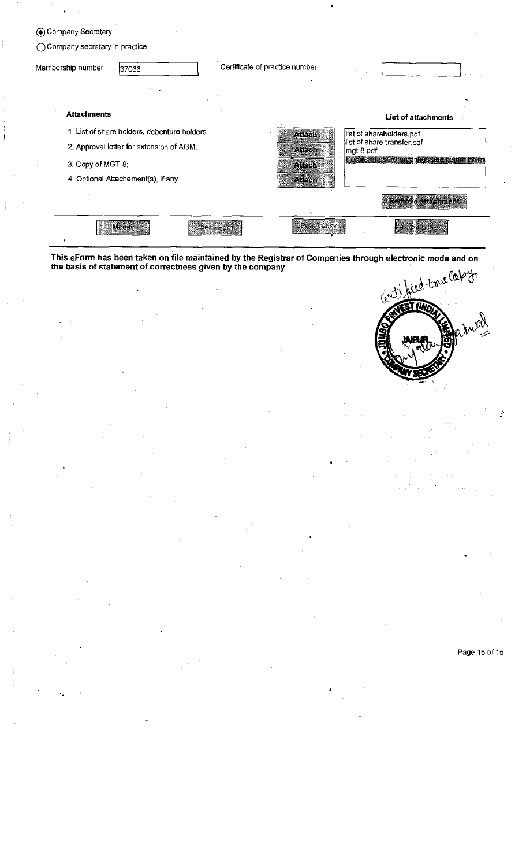|                   | (●) Company Secretary           |                                             |  |                                |           |                                          |  |
|-------------------|---------------------------------|---------------------------------------------|--|--------------------------------|-----------|------------------------------------------|--|
|                   | ◯ Company secretary in practice |                                             |  |                                |           |                                          |  |
| Membership number |                                 | 37066                                       |  | Certificate of practice number |           |                                          |  |
|                   | <b>Attachments</b>              |                                             |  |                                |           | <b>List of attachments</b>               |  |
|                   |                                 | 1. List of share holders, debenture holders |  | $X \in \mathfrak{Sh}$          |           | list of shareholders.pdf                 |  |
|                   |                                 | 2. Approval letter for extension of AGM;    |  | Affeten :                      | mgt-8.pdf | list of share transfer.pdf               |  |
|                   | 3. Copy of MGT-8;               |                                             |  | Aleisia                        |           | Details of a and meetings and committeen |  |
|                   |                                 | 4. Optional Attachement(s), if any          |  | Atelen                         |           |                                          |  |
|                   |                                 |                                             |  |                                |           | <b>Remove attachment</b>                 |  |
|                   |                                 | Modify                                      |  | ART J                          |           |                                          |  |

 $\sqrt{2}$ 

This eForm has been taken on file maintained by the Registrar ofCompanies through electronic mode and on the basis of statement of correctness given by the company ᡲ



#### Page 15 of 15

 $\tilde{\mathcal{E}}$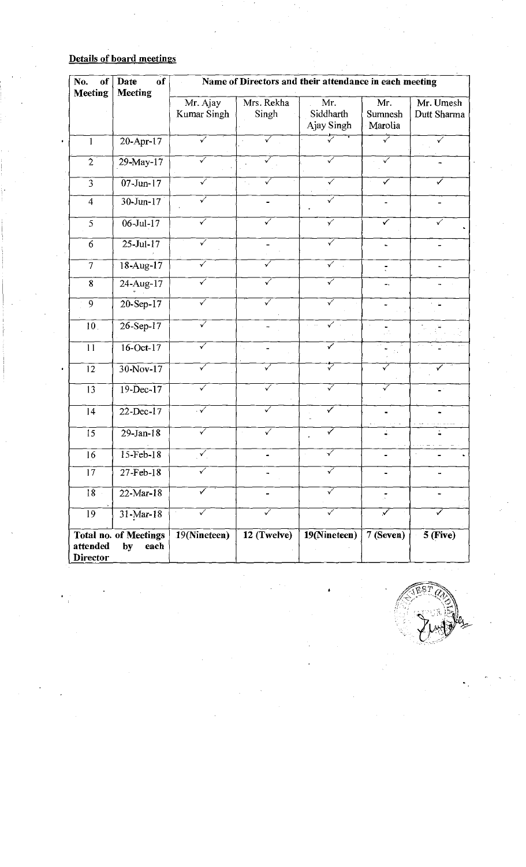## Details of board meetings

|           | No.<br>of<br><b>Meeting</b> | $o$ f<br>Date<br><b>Meeting</b>            |                         |                           | Name of Directors and their attendance in each meeting |                            |                          |
|-----------|-----------------------------|--------------------------------------------|-------------------------|---------------------------|--------------------------------------------------------|----------------------------|--------------------------|
|           |                             |                                            | Mr. Ajay<br>Kumar Singh | Mrs. Rekha<br>Singh       | Mr.<br>Siddharth<br>Ajay Singh                         | Mr.<br>Sumnesh<br>Marolia  | Mr. Umesh<br>Dutt Sharma |
| $\bullet$ |                             | $20-Apr-17$                                | $\overline{\checkmark}$ | ✓<br>$\ddot{\phantom{0}}$ |                                                        | ▽                          | $\overline{\checkmark}$  |
|           | $\overline{2}$              | $29$ -May-17                               | ✓                       | ✓                         | $\overline{\checkmark}$                                | $\overline{\checkmark}$    |                          |
|           | $\overline{3}$              | $\overline{07}$ -Jun-17                    | $\overline{\checkmark}$ | ✓                         | $\overline{\checkmark}$                                | $\overline{\checkmark}$    | ✓                        |
|           | $\overline{4}$              | $30 - Jun - 17$                            | ✓                       |                           | ✓                                                      | $\blacksquare$             |                          |
|           | 5                           | $06$ -Jul-17                               | ✓                       | ✓                         | $\overline{\check{Y}}$                                 | $\checkmark$               | ✓                        |
|           | 6                           | $25 - Ju - 17$                             | $\checkmark$            |                           | ✓                                                      |                            |                          |
|           | $\overline{7}$              | $18-Aug-17$                                | ✓                       | ✓                         | $\overline{\checkmark}$                                | $\overline{\cdot}$         |                          |
|           | $\bf 8$                     | 24-Aug-17                                  | $\checkmark$            | √                         | ✓                                                      | Ξ.                         |                          |
|           | 9                           | $20 - Sep-17$                              | ✓                       | $\overline{\checkmark}$   | $\overline{\checkmark}$                                | $\overline{\phantom{a}}$   | $\sim$                   |
|           | 10.                         | $26$ -Sep-17                               | $\triangledown$         |                           | $\sqrt{ }$<br>$\alpha = 1/2$                           | $\tilde{\phantom{a}}$      |                          |
|           | $\overline{11}$             | $16 - Oct-17$                              | $\overline{\checkmark}$ | ٠.                        | ✓                                                      |                            |                          |
|           | $\overline{12}$             | $30-Nov-17$                                | $\checkmark$            | $\sqrt{}$                 | ⊽                                                      | ✓                          |                          |
|           | 13                          | $19 - Dec-17$                              | $\overline{\checkmark}$ | ✓                         | ✓                                                      |                            |                          |
|           | $\overline{14}$             | $22 - Dec-17$                              | 7                       | $\overline{\checkmark}$   | ✓                                                      | $\sim$ 10 $\sim$ 10 $\sim$ |                          |
|           | 15                          | $29$ -Jan-18                               | ✓                       | $\overline{\checkmark}$   | ✓                                                      |                            |                          |
|           | 16                          | $15$ -Feb- $18$                            | $\checkmark$            |                           | $\mathcal{S}$                                          |                            |                          |
|           | $1\overline{7}$             | $27$ -Feb-18                               | $\checkmark$            | ۰                         | ✓                                                      |                            |                          |
|           | 18                          | $22-Mar-18$                                | $\blacktriangledown$    | -                         | $\checkmark$                                           |                            |                          |
|           | 19                          | $31-Mar-18$                                | $\checkmark$            | 7                         | ✓                                                      | $\overline{\checkmark}$    | ✓                        |
|           | attended<br><b>Director</b> | <b>Total no. of Meetings</b><br>by<br>each | 19(Nineteen)            | $\overline{12}$ (Twelve)  | $19$ (Nineteen)                                        | 7(Seven)                   | $5$ (Five)               |

FET CH  $\mathbb{R} \mathbb{R}$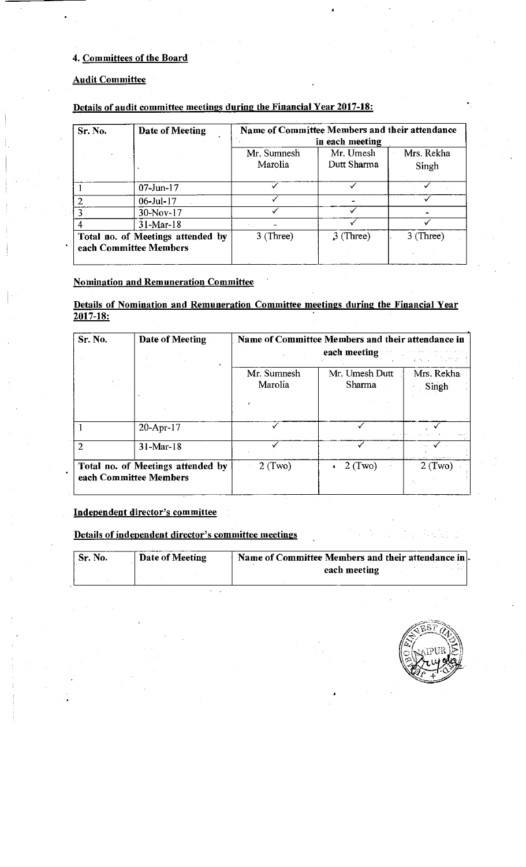## 4. Committees of the Board

#### Audit Committee

|         |                                                             |                        | Name of Committee Members and their attendance |                     |
|---------|-------------------------------------------------------------|------------------------|------------------------------------------------|---------------------|
| Sr. No. | Date of Meeting                                             |                        | in each meeting                                |                     |
|         |                                                             | Mr. Sumnesh<br>Marolia | Mr. Umesh<br>Dutt Sharma                       | Mrs. Rekha<br>Singh |
|         | $07 - Jun - 17$                                             |                        |                                                |                     |
|         | $06$ -Jul- $17$                                             |                        |                                                |                     |
|         | 30-Nov-17                                                   |                        |                                                |                     |
|         | $31-Mar-18$                                                 |                        |                                                |                     |
|         | Total no. of Meetings attended by<br>each Committee Members | $3$ (Three)            | $3$ (Three)                                    | $3$ (Three)         |

#### Details of audit committee meetings during the Financial Year 2017-18:

#### Nomination and Remuneration Committee

#### Details of Nomination and Remuneration Committee meetings during the Financial Year <u> 2017-18:</u>

| Sr. No. | Date of Meeting                                             | Name of Committee Members and their attendance in<br>each meeting<br>おんな しんせい |                          |                     |  |  |  |
|---------|-------------------------------------------------------------|-------------------------------------------------------------------------------|--------------------------|---------------------|--|--|--|
|         |                                                             | Mr. Sumnesh<br>Marolia                                                        | Mr. Umesh Dutt<br>Sharma | Mrs. Rekha<br>Singh |  |  |  |
|         | $20 - Apr - 17$                                             |                                                                               |                          |                     |  |  |  |
| 2       | $31-Mar-18$                                                 |                                                                               |                          |                     |  |  |  |
|         | Total no. of Meetings attended by<br>each Committee Members | $2$ (Two)                                                                     | $2$ (Two)                | $2$ (Two)           |  |  |  |

## Independent director's committee

Details of independent director's committee meetings

| ' Sr. No. | Date of Meeting | Name of Committee Members and their attendance in. |
|-----------|-----------------|----------------------------------------------------|
|           |                 | each meeting                                       |
|           |                 |                                                    |

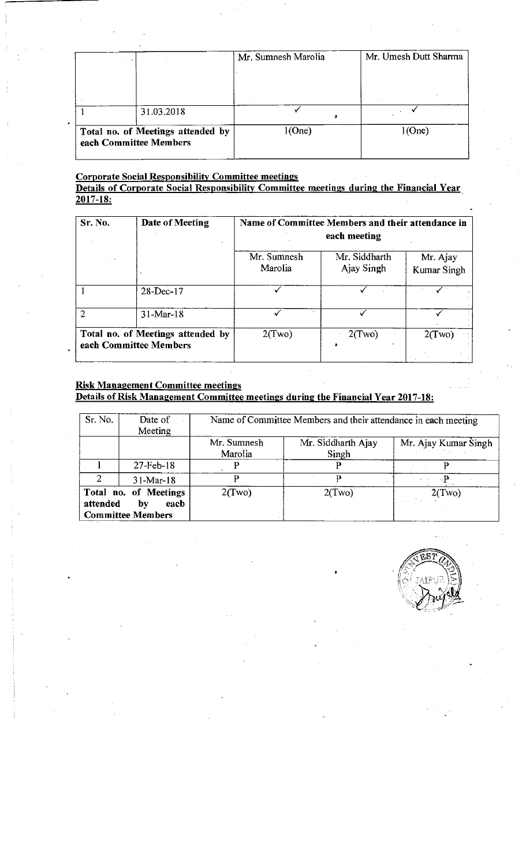|                                                             | Mr. Sumnesh Marolia | Mr. Umesh Dutt Sharma |  |  |
|-------------------------------------------------------------|---------------------|-----------------------|--|--|
|                                                             |                     |                       |  |  |
|                                                             |                     |                       |  |  |
| 31.03.2018                                                  |                     |                       |  |  |
| Total no. of Meetings attended by<br>each Committee Members | 1(One)              | 1(One)                |  |  |

#### Corporate Social Responsibility Committee meetings

#### Details of Corporate Social Responsibility Committee meetings during the Financial Year <u>2017-18:</u>

| Sr. No.                                                     | Date of Meeting | Name of Committee Members and their attendance in<br>each meeting |                             |                         |  |  |  |
|-------------------------------------------------------------|-----------------|-------------------------------------------------------------------|-----------------------------|-------------------------|--|--|--|
| $\sim$ $\sim$                                               |                 | Mr. Sumnesh<br>Marolia                                            | Mr. Siddharth<br>Ajay Singh | Mr. Ajay<br>Kumar Singh |  |  |  |
|                                                             | 28-Dec-17       |                                                                   |                             |                         |  |  |  |
|                                                             | $31-Mar-18$     |                                                                   |                             |                         |  |  |  |
| Total no. of Meetings attended by<br>each Committee Members |                 | 2(Two)                                                            | 2(Two)                      | 2(Two)                  |  |  |  |

#### Risk Management Committee meetings Details of Risk Management Committee meetings during the Financial Year 2017-18:

| Sr. No.  | Date of<br>Meeting                                              |                        | Name of Committee Members and their attendance in each meeting |                      |
|----------|-----------------------------------------------------------------|------------------------|----------------------------------------------------------------|----------------------|
|          |                                                                 | Mr. Sumnesh<br>Marolia | Mr. Siddharth Ajay<br>Singh                                    | Mr. Ajay Kumar Singh |
|          | $27$ -Feb-18                                                    |                        |                                                                |                      |
|          | $31-Mar-18$                                                     |                        |                                                                |                      |
| attended | Total no. of Meetings<br>by<br>each<br><b>Committee Members</b> | 2(Two)                 | 2(Two)                                                         | 2(Two)               |

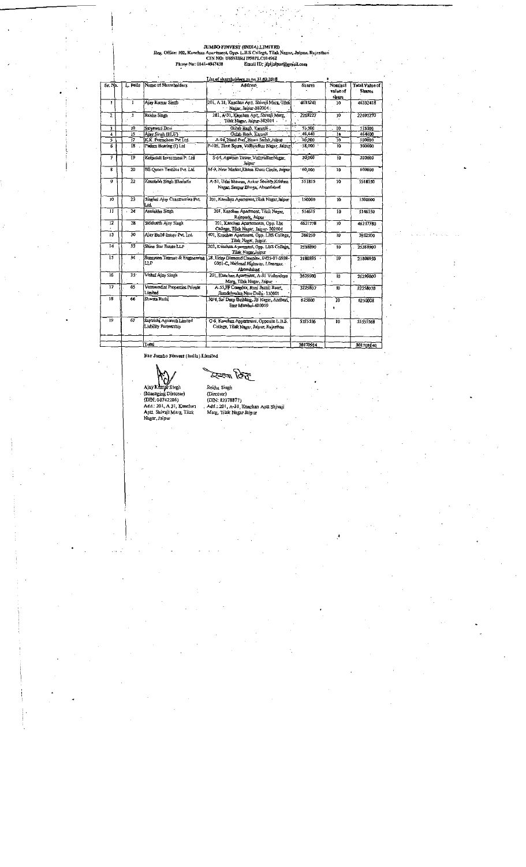#### JUMBOFINVEST(INDIA.).LIMITED

i

Reg. Office: H2, Kanchan Apartment, Opp. L.E.S College, Tilak Nagar, Jaipur, Rajasthan<br>ONNO: U65923RJI998PLC011498<br>Phone No: 0141-4047438 Email ID; jfpijaipun@grossi.com

| $Sn$ . No.              | L. Polic                | Name of Shareholders                                | <b>Address</b>                                                                               | <b>Shares</b> | Nominal              | Tatal Value of |  |  |
|-------------------------|-------------------------|-----------------------------------------------------|----------------------------------------------------------------------------------------------|---------------|----------------------|----------------|--|--|
|                         |                         |                                                     |                                                                                              |               | value of<br>share    | <b>Shares</b>  |  |  |
| 1                       | 1                       | Ajay Kumar Smgh                                     | 201, A 31, Kanchan Aptt, Shivaji Marg, Tilak<br>Nacar, Jaiour 302004 :                       | 4633241       | $10$                 | 46332418       |  |  |
| 2                       | 3.                      | Rekha Singh                                         | 281, A-31, Kanchan Aptt, Shivaji Marg,<br>Tilak Nagar, Jaipur-302004                         | 2267227       | 10                   | 22692270       |  |  |
| 3                       | 10                      | Sutyawan Devi                                       | Gulah Bagh, Karauli                                                                          | 51,500        | 10                   | 515000         |  |  |
| $\overline{4}$          | 15                      | Agay Singh (HUF)                                    | Gulah Batch, Karauli                                                                         | 46,440        | $\overline{1}$ a     | 464400         |  |  |
| 5.                      | 77                      | K.K. Petrophem Pvt Ltd.                             | A-94, Nand Pun, Hawa Sadak Jaipur                                                            | 50,000        | 10                   | 500000         |  |  |
| 6                       | 18                      | Padam Bearing (I) Ltd                               | F-105, Time Squre, Vidhyadhar Nagar, Jaipur,                                                 | 58,000        | ĩ0                   | 500000         |  |  |
| 7                       | 19                      | Kotputali Investment P. Ltd                         | S-64, Agarsen Tower VichyadharNagar,<br>Jaipur                                               | 30,000        | ī0                   | 300000         |  |  |
| $\overline{\mathbf{g}}$ | $\overline{20}$         | BE Queen Textiles Pvt. Ltd                          | M-9, New Market Khasa Khati Circle, Jamur                                                    | 50,000        | 30                   | 600000         |  |  |
| 9                       | $\overline{\mathbf{z}}$ | Koustalih Singh Bhadoria                            | A-51, Udai bhawan, Ankur Society, Krishna<br>Nagar, Sezpur Bhoga, Ahmedabad                  | 551815        | 10 <sup>7</sup>      | 5518150        |  |  |
| 10                      | 23                      | Singled Ajay Construction Pvt.<br>Ld                | 201. Kanchan Apartment Tilak Nagar Jaipur                                                    | 150000        | $\overline{10}$      | 1500000        |  |  |
| $\overline{\mathbf{u}}$ | $\overline{24}$         | Anulekha Singh                                      | 201, Kanchan Apartment, Tilak Navar.<br>Rajapark, Jaipur                                     | 514615        | $\overline{10}$      | 5146150        |  |  |
| $\overline{12}$         | 28                      | Siddhaith Ajay Singh                                | 201, Kanchan Apartements, Opp. Lbs.<br>Caflege, Tilak Nagar, Jamur- 302004                   | 4621778       | $\overline{10}$      | 46217780       |  |  |
| 13                      | 30                      | Alay Build Estate Pvt. Ltd.                         | 407, Kanchan Apartment, Opp. LBS College,<br>Tilak Nagar, Jaipur.                            | 386250        | 10                   | 3862500        |  |  |
| 14                      | 33                      | Shine Star Estate LLP                               | 203, Kanchan Apartment, Opp. LBS College,<br>Tilak Nagar Jaipur                              | 2538890       | $\overline{10}$      | 25388900       |  |  |
| 15                      | 34                      | Sunayana Teamac & Engineering<br>ШP                 | 38, Uday Diamond Complex, 0425-07-0938-<br>0001-C, National Highway, Lilanagar,<br>Ahemdabad | 2180895 -     | 10                   | 21808950       |  |  |
| $\overline{16}$         | $\overline{35}$         | Vishal Ajay Singh                                   | 201. Kanchan Apartment, A-31 Vidhyslaya<br>Marg, Tilak Nagar, Jaipur -                       | 2629900       | In.                  | 26299000       |  |  |
| -17                     | 65                      | Veenwadini Properties Private<br>Limited            | A-55 FF Complex, Ranj Jhansi Read.<br>Jiandelwalan New Delhi - 110001                        | 225807        | $10^{-}$             | 32258070       |  |  |
| 18                      | 66                      | Shweta Rathi                                        | 30/4, Sai Deep Building, JB Nagar, Andbert<br>East Mumbai-400059                             | 625800        | $\overline{10}$<br>٠ | 6250008        |  |  |
| 19                      | 67                      | Saptrishi Agrorech Limited<br>Liability Partnership | G-6 Kanchan Appartment, Opposite L B S.<br>College, Tilak Nagar, Jamur, Rajasthan            | 5555556       | 10                   | 5555558        |  |  |
|                         |                         | Total                                               |                                                                                              | 30170914      |                      |                |  |  |
|                         |                         |                                                     |                                                                                              |               |                      | 301709140      |  |  |

.<br>v<mark>est (I</mark>ndia) Limited

## $\mathfrak{C}$

Ajay Kunga Singh<br>• (Managing Director)<br>• (DIN: 00742286)<br>Add.: 201, A 31, Kanchan<br>• Aptt. Shivaji Marg, Tilak<br>• Nagar, Jaipur

<sup>I</sup>

 $\overline{\phantom{a}}$ 

Rekha Songh<br>(Director)<br>(DIN: 82378877)<br>Add.: 201, A-31, Kanchan Aptt Shivaji<br>Marg, Tilak Nagar Jaipur

«

 $\cdot$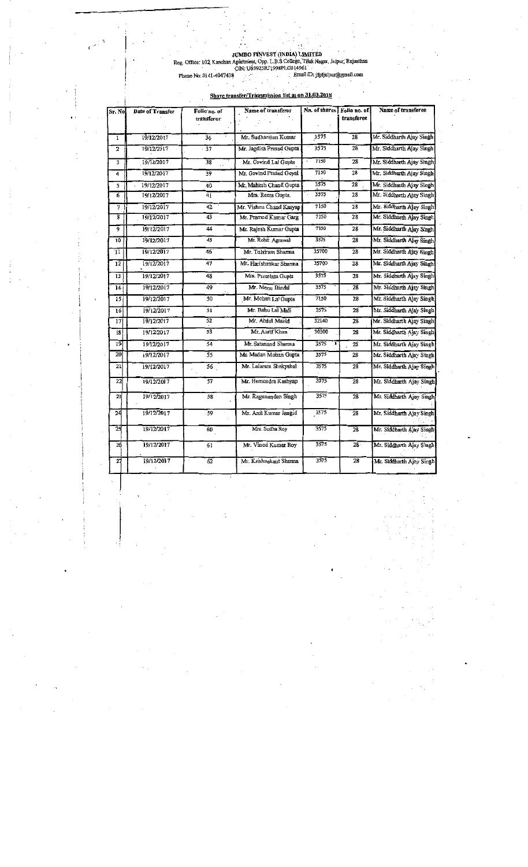. i

;

:

.

:

:

JUMBO FINVEST (INDIA) LIMITED<br>Reg. Office: 102, Kanchan Apartment, Opp. L.B.S College, Tilak Nagar. Jaipur, Rajasthan

CIN: U65923RJ1998PLG014961<br>Phone No: 0141-4047438 : Email ID: jfpljaipur@graail.com

 $\overline{\phantom{a}}$ 

#### Share transfer/Transmission list as on 31.03.2018

| Sr. No         | Date of Transfer | Folio no. of<br>transferor | Name of transferor       | Nn. of shares | Folio no. of<br>transferee | Name of transferee       |
|----------------|------------------|----------------------------|--------------------------|---------------|----------------------------|--------------------------|
| 1              | 19/12/2017       | $\overline{36}$            | Mr. Sudharshan Kumar     | 3575          | 28                         | Mr. Siddharth Ajay Singh |
| $\overline{2}$ | 19/12/2017       | - 37                       | Mr. Jagdish Prasad Gupta | 3575          | 28                         | Mr. Siddharth Ajay Singh |
| 3              | 19/12/2017       | 38                         | Mr. Govind Lal Gupta     | 7150          | 28                         | Mr. Siddharth Ajay Singh |
| 4              | 19/12/2017       | 39                         | Mr. Govind Prasad Goval  | 7150          | 28                         | Mr. Siddharth Ajay Singh |
| 5              | 19/12/2017       | 40                         | Mr. Mahesh Chand Gupta   | 3575          | 28                         | Mr. Siddharth Ajay Singh |
| 6              | 19/12/2017       | 41                         | Mrs. Reeta Gunta         | 3575          | 28                         | Mr. Siddharth Ajay Singh |
| 7              | 19/12/2017       | 42                         | Mr. Vishnu Chand Kasyap  | 7150          | $\overline{28}$            | Mr. 8iddharth Ajay Singh |
| ŝ              | 19/12/2017       | 43                         | Mr. Pramod Kumar Garg    | 7150          | 28                         | Mr. Siddharth Ajay Singh |
| 9              | 19/12/2017       | 44                         | Mr. Rajesh Kumar Gupta   | 7150          | 28                         | Mr. Siddharth Ajay Singh |
| 10             | 19/12/2017       | 45                         | Mr. Rohit Agrawal        | 3575          | 28                         | Mr. Siddharth Ajay Singh |
| น              | 19/12/2017       | 46                         | Mr. Tulsiram Sharma      | 35700         | 28                         | Mr. Siddharth Ajay Singh |
| 12             | 19/12/2017       | 47                         | Mr. Harishankar Sharma   | 35700         | 28                         | Mr. Siddharth Ajay Singh |
| 13             | 19/12/2017       | 48                         | Mrs. Premiata Gupta      | 3575          | 28                         | Mr. Siddharth Ajay Singh |
| 14             | 19/12/2017       | 49                         | Mr. Monu Bindal          | 3575          | 28                         | Mr. Siddharth Ajay Singh |
| 15             | 19/12/2017       | 50                         | Mr. Mohan Lal Gupta      | 7150          | 28                         | Mr. Siddharth Ajay Singh |
| l6             | 19/12/2017       | 51                         | Mr. Bahu Lal Mali        | 3575          | 28                         | Mr. Siddharth Ajay Singh |
| 17             | 19/12/2017       | 52                         | Mr. Abdul Mazid          | 32140         | 28                         | Mr. Siddharth Ajay Singh |
| 18             | 19/12/2017       | 53                         | Mr. Aarif Khan           | 30300         | 28                         | Mr. Siddharth Ajay Singh |
| 19             | 19/12/2017       | 54                         | Mr. Satanand Sharma      | 3575          | 28                         | Mr. Siddharth Ajay Singh |
| 20             | 19/12/2017       | 55                         | Mr. Madan Monan Gupta    | 3575          | 28                         | Mr. Siddharth Ajay Singh |
| 21             | 19/12/2017       | 56 <sub>1</sub>            | Mr. Lalaram Shakyabal    | 3575          | 28                         | Mr. Siddharth Ajay Singh |
| 22             | 19/12/2017       | $\overline{57}$            | Mr. Hemendra Kashyap     | 3575          | 28                         | Mr. Siddharth Ajay Singh |
| 23             | 19/12/2017       | 58                         | Mr. Ragunandan Singh     | 3575          | 28                         | Mr. Siddharth Ajoy Singh |
| 24             | 19/12/2017       | 59                         | Mr. Anil Kumar Jangid    | 3575          | 28                         | Mr. Siddharth Ajay Singh |
| 25             | 19/12/2017       | 60                         | Mrs. Sudha Roy           | 3575          | 28                         | Mr. Siddharth Ajay Singh |
| 26             | 19/12/2017       | 61                         | Mr. Vinod Kumar Roy      | 3575          | $28 -$                     | Mr. Siddharth Ajay Singh |
| 27             | 19/12/2017       | $\overline{62}$            | Mr. Krishnakant Sharma   | 3575          | 28                         | Mr. Siddharth Ajay Singh |

I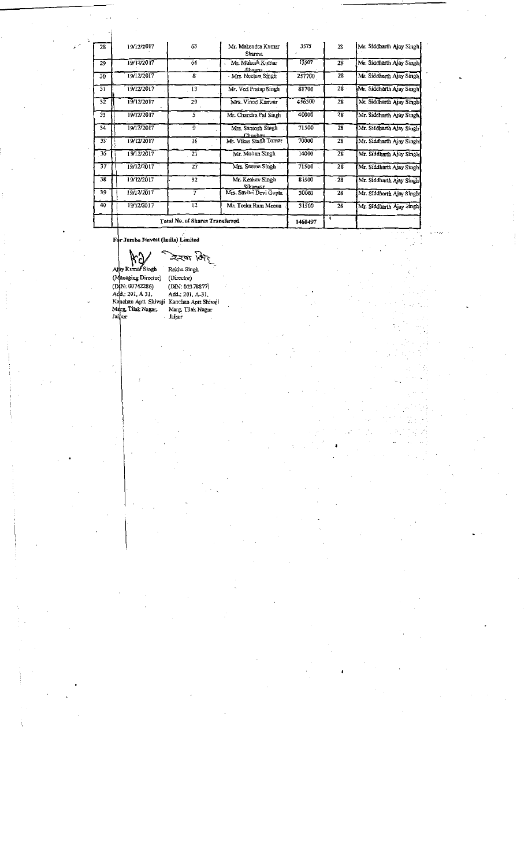|                 |            | Total No. of Shares Transferred |                               | 1460497 |                 |                           |
|-----------------|------------|---------------------------------|-------------------------------|---------|-----------------|---------------------------|
| 40              | 19/12/2017 | 12                              | Mr. Teeka Ram Meena           | 31500   | 28              | Mr. Siddharth Ajay Singh  |
| 39              | 19/12/2017 | 7                               | Mrs. Savitri Devi Gupta       | 30000   | 28              | Mr. Siddharth Ajay Singh  |
| 38              | 19/12/2017 | 32                              | Mr. Keshav Singh<br>Sikarwar  | 81500   | 28              | Mr. Siddharth Ajay Singh  |
| 37              | 19/12/2017 | 27                              | Mrs. Seema Singh              | 71500   | 28              | Mr. Siddharth Ajay Singh  |
| 36              | 19/12/2017 | 21                              | Mr. Mohan Singh               | 14000   | 28              | Mr. Siddharth Ajay Singh  |
| $35 -$          | 19/12/2017 | -16                             | Mr. Vikas Singh Tomar         | 70000   | 28              | Mr. Siddharth Ajay Singh  |
| 34              | 19/12/2017 | 9                               | Mrs. Santosh Singh<br>Chouban | 71500   | 28              | Mr. Siddharth Ajay Singh  |
| 33              | 19/12/2017 |                                 | Mr. Chandra Pal Singh         | 40000   | $\overline{28}$ | Mr. Siddharth Ajay Singh. |
| $3\overline{2}$ | 19/12/2017 | 29                              | Mrs. Vinod Kanwar             | 456500  | 28              | Mr. Siddharth Ajay Singh  |
| $\overline{31}$ | 19/12/2017 | 13                              | Mr. Ved Pratap Singh          | 81700   | 28              | Mr. Siddharth Ajay Singh  |
| 30              | 19/12/2017 | 8                               | Mrs. Neelam Singh             | 257700  | 28              | Mr. Siddharth Ajay Singh. |
| 29              | 19/12/2017 | 64                              | Mr. Mukesh Kumar<br>Sharma    | 13507   | 28              | Mr. Siddharth Alay Singh  |
| 28              | 19/12/2017 | 63                              | Mr. Mahendra Kumar<br>Sharma  | 3575    | 28              | Mr. Siddharth Ajay Singh  |

For Jumbo Finvest (India) Limited

Wa<br>umar Singh<br>ging Directo

..I

V AiiyK RekhaSingh (Managing Director) (Director)

(DfN:00742286) (DIN:02378877) Add.:201,A 31, Add.:201, A-31, Kajehan Aptt Shivaji Kanchan-Aptt Shivaji Marg, Tilak Nagar, Marg, Tilak Nagar Jaipur Jaipur

5

i

l,

;

I am a choice and the contract of the contract of the contract of the contract of the contract of the contract of

4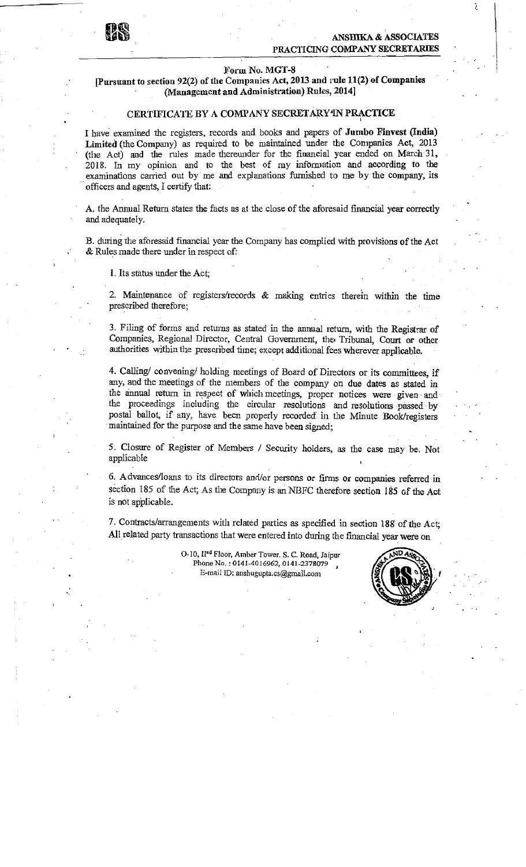#### ANSHIKA & ASSOCIATES PRACTICING COMPANY SECRETARIES

 $\mathcal{E}$ 

#### Form No.MGT-8

#### [Pursuant to section 92(2) of the Companies Act, 2013 and rule 11(2) of Companies (Management and Administration) Rules, 2014]

#### CERTIFICATE BY A COMPANY SECRETARY IN PRACTICE

I have examined the registers, records and books and papers of Jumbo Finvest(India) Limited (the Company) as required to be maintained under the Companies Act, 2013 (the Act) and the rules made thereunder for the financial year ended on March 31, 2018. In my opinion and to the best of my information and according to the examinations carried out by me and explanations furnished to me by the company, its officers and agents,Icertify that:

A. the Annual Return states the facts as at the close of the aforesaid financial year correctly and adequately.

B. during the aforesaid financial year the Company has complied with provisions of the Act  $&Rules$  made there under in respect of:

1. Its status under the Act;

2. Maintenance of registers/records & making entries therein within the time prescribed therefore;

3. Filing of forms and returns as stated in the annual return, with the Registrar of Companies, Regional Director, Central Government, the Tribunal, Court or other authorities within the prescribed time; except additional fees wherever applicable.

4. Calling/ convening/ holding meetings of Board of Directors or its committees, if any,and the meetings of the members of the company on due dates as stated in the annual return in respect of which meetings, proper notices were given and the proceedings including the circular resolutions and resolutions passed by postal ballot, if any, have been properly recorded' in the Minute Book/registers maintained for the purpose and the same have been signed;

5. Closure of Register of Members / Security holders, as the case may be. Not applicable ,

6. Advances/loans to its directors and/or persons or firms or companies referred in section 185 of the Act; As the Company is an NBFC therefore section 185 of the Act is not applicable.

7. Contracts/arrangements with related parties as specified in section 188 of the Act; All related party transactions that were entered into during the financial year were on

> O-10, II<sup>nd</sup> Floor, Amber Tower. S. C. Road, Jaipur Phone No.: 0141-4016962, 0141-2378079 E-mail ID: anshugupta.cs@gmail.com



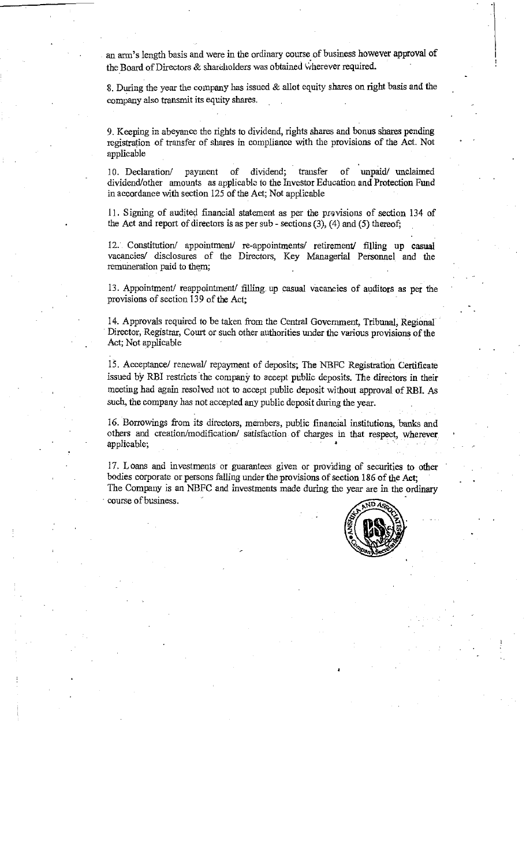an arm's length basis and were in the ordinary course of business however approval of the Board of Directors & shareholders was obtained wherever required.

8. During the year the company has issued  $&$  allot equity shares on right basis and the company also transmit its equity shares.

9. Keeping in abeyance the rights to dividend, rights shares and bonus shares pending registration of transfer of shares in compliance with the provisions of the Act. Not applicable

10. Declaration/ payment of dividend; transfer of unpaid/ unclaimed dividend/other amounts as applicable to the Investor Education and Protection Fund in accordance with section 125 of the Act; Not applicable

11. Signing of audited financial statement as per the provisions of section 134 of the Act and report of directors is as per sub - sections  $(3)$ ,  $(4)$  and  $(5)$  thereof;

12. Constitution/ appointment/ re-appointments/ retirement/ filling up casual vacancies/ disclosures of the Directors, Key Managerial Personnel and the remuneration paid to them;

13. Appointment/ reappointment/ filling, up casual vacancies of auditors as per the provisions of section 139 of the Act;

14. Approvals required to be taken from the Central Government, Tribunal, Regional Director, Registrar, Court or such other authorities under the various provisions of the Act; Not applicable

15. Acceptance/ renewal/ repayment of deposits; The NBFC Registration Certificate issued by RBI restricts the company to accept public deposits. The directors in their meeting had again resolved not to accept public deposit without approval ofRBI. As such, the company has not accepted any public deposit during the year.

16. Borrowings from its directors, members, public financial institutions, banks and others and creation/modification/ satisfaction of charges in that respect, wherever applicable;

17. Loans and investments or guarantees given or providing of securities to other bodies corporate or persons falling under the provisions of section 186 of the Act; The Company is an NBFC and investments made during the year are in the ordinary course of business.



:

;